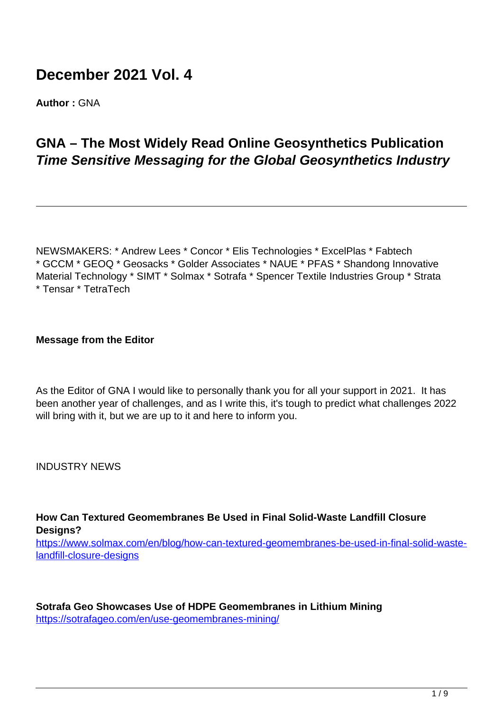# **December 2021 Vol. 4**

**Author :** GNA

# **GNA – The Most Widely Read Online Geosynthetics Publication Time Sensitive Messaging for the Global Geosynthetics Industry**

NEWSMAKERS: \* Andrew Lees \* Concor \* Elis Technologies \* ExcelPlas \* Fabtech \* GCCM \* GEOQ \* Geosacks \* Golder Associates \* NAUE \* PFAS \* Shandong Innovative Material Technology \* SIMT \* Solmax \* Sotrafa \* Spencer Textile Industries Group \* Strata \* Tensar \* TetraTech

#### **Message from the Editor**

As the Editor of GNA I would like to personally thank you for all your support in 2021. It has been another year of challenges, and as I write this, it's tough to predict what challenges 2022 will bring with it, but we are up to it and here to inform you.

INDUSTRY NEWS

**How Can Textured Geomembranes Be Used in Final Solid-Waste Landfill Closure Designs?**

[https://www.solmax.com/en/blog/how-can-textured-geomembranes-be-used-in-final-solid-waste](https://www.solmax.com/en/blog/how-can-textured-geomembranes-be-used-in-final-solid-waste-landfill-closure-designs)[landfill-closure-designs](https://www.solmax.com/en/blog/how-can-textured-geomembranes-be-used-in-final-solid-waste-landfill-closure-designs)

**Sotrafa Geo Showcases Use of HDPE Geomembranes in Lithium Mining** https://sotrafageo.com/en/use-geomembranes-mining/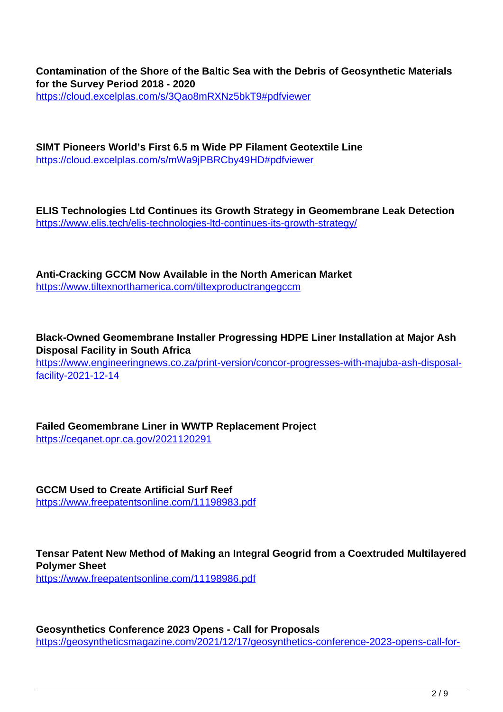**Contamination of the Shore of the Baltic Sea with the Debris of Geosynthetic Materials for the Survey Period 2018 - 2020** https://cloud.excelplas.com/s/3Qao8mRXNz5bkT9#pdfviewer

**SIMT Pioneers World's First 6.5 m Wide PP Filament Geotextile Line** https://cloud.excelplas.com/s/mWa9jPBRCby49HD#pdfviewer

**ELIS Technologies Ltd Continues its Growth Strategy in Geomembrane Leak Detection** https://www.elis.tech/elis-technologies-ltd-continues-its-growth-strategy/

**Anti-Cracking GCCM Now Available in the North American Market** https://www.tiltexnorthamerica.com/tiltexproductrangegccm

**Black-Owned Geomembrane Installer Progressing HDPE Liner Installation at Major Ash Disposal Facility in South Africa** https://www.engineeringnews.co.za/print-version/concor-progresses-with-majuba-ash-disposal-

facility-2021-12-14

**Failed Geomembrane Liner in WWTP Replacement Project** https://ceqanet.opr.ca.gov/2021120291

**GCCM Used to Create Artificial Surf Reef** https://www.freepatentsonline.com/11198983.pdf

**Tensar Patent New Method of Making an Integral Geogrid from a Coextruded Multilayered Polymer Sheet** https://www.freepatentsonline.com/11198986.pdf

**Geosynthetics Conference 2023 Opens - Call for Proposals** https://geosyntheticsmagazine.com/2021/12/17/geosynthetics-conference-2023-opens-call-for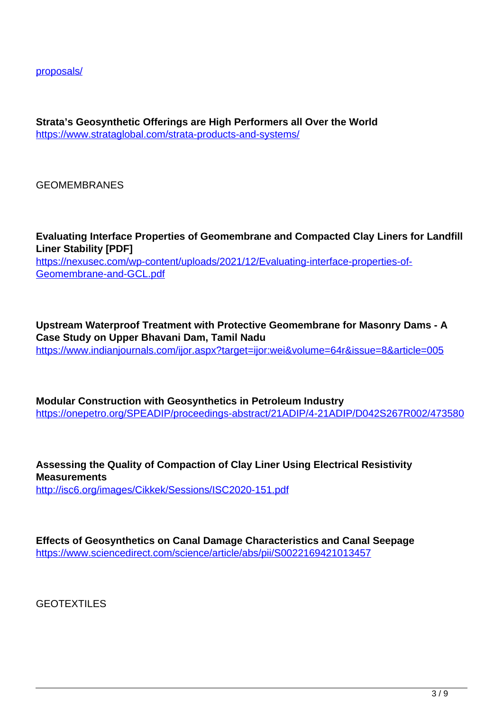proposals/

**Strata's Geosynthetic Offerings are High Performers all Over the World** https://www.strataglobal.com/strata-products-and-systems/

**GEOMEMBRANES** 

**Evaluating Interface Properties of Geomembrane and Compacted Clay Liners for Landfill Liner Stability [PDF]** https://nexusec.com/wp-content/uploads/2021/12/Evaluating-interface-properties-of-Geomembrane-and-GCL.pdf

**Upstream Waterproof Treatment with Protective Geomembrane for Masonry Dams - A Case Study on Upper Bhavani Dam, Tamil Nadu** https://www.indianjournals.com/ijor.aspx?target=ijor:wei&volume=64r&issue=8&article=005

**Modular Construction with Geosynthetics in Petroleum Industry** https://onepetro.org/SPEADIP/proceedings-abstract/21ADIP/4-21ADIP/D042S267R002/473580

**Assessing the Quality of Compaction of Clay Liner Using Electrical Resistivity Measurements** http://isc6.org/images/Cikkek/Sessions/ISC2020-151.pdf

**Effects of Geosynthetics on Canal Damage Characteristics and Canal Seepage** https://www.sciencedirect.com/science/article/abs/pii/S0022169421013457

GEOTEXTILES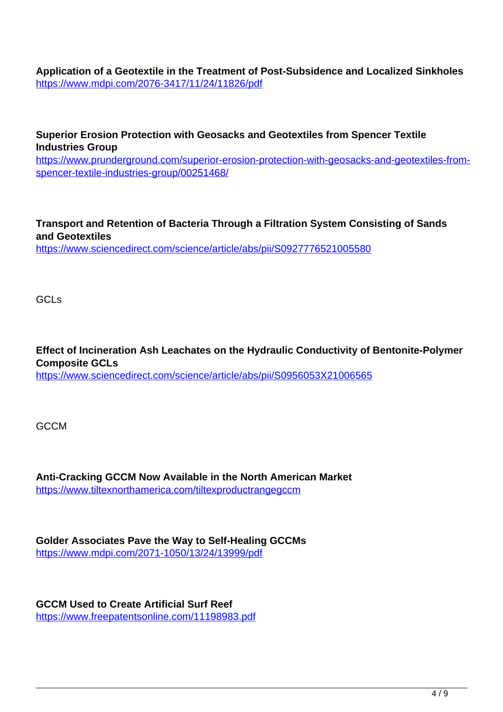**Application of a Geotextile in the Treatment of Post-Subsidence and Localized Sinkholes** https://www.mdpi.com/2076-3417/11/24/11826/pdf

**Superior Erosion Protection with Geosacks and Geotextiles from Spencer Textile Industries Group** https://www.prunderground.com/superior-erosion-protection-with-geosacks-and-geotextiles-fromspencer-textile-industries-group/00251468/

**Transport and Retention of Bacteria Through a Filtration System Consisting of Sands and Geotextiles** https://www.sciencedirect.com/science/article/abs/pii/S0927776521005580

GCL<sub>s</sub>

**Effect of Incineration Ash Leachates on the Hydraulic Conductivity of Bentonite-Polymer Composite GCLs**

https://www.sciencedirect.com/science/article/abs/pii/S0956053X21006565

GCCM

**Anti-Cracking GCCM Now Available in the North American Market** https://www.tiltexnorthamerica.com/tiltexproductrangegccm

**Golder Associates Pave the Way to Self-Healing GCCMs** https://www.mdpi.com/2071-1050/13/24/13999/pdf

**GCCM Used to Create Artificial Surf Reef** https://www.freepatentsonline.com/11198983.pdf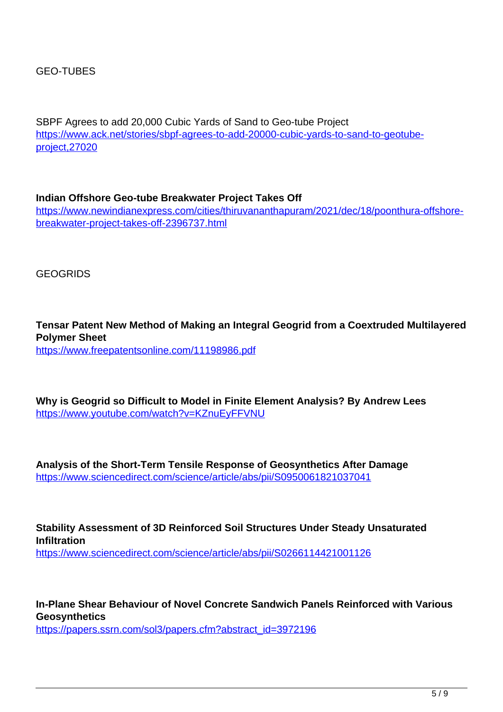SBPF Agrees to add 20,000 Cubic Yards of Sand to Geo-tube Project https://www.ack.net/stories/sbpf-agrees-to-add-20000-cubic-yards-to-sand-to-geotubeproject,27020

**Indian Offshore Geo-tube Breakwater Project Takes Off** https://www.newindianexpress.com/cities/thiruvananthapuram/2021/dec/18/poonthura-offshorebreakwater-project-takes-off-2396737.html

GEOGRIDS

**Tensar Patent New Method of Making an Integral Geogrid from a Coextruded Multilayered Polymer Sheet** https://www.freepatentsonline.com/11198986.pdf

**Why is Geogrid so Difficult to Model in Finite Element Analysis? By Andrew Lees** https://www.youtube.com/watch?v=KZnuEyFFVNU

**Analysis of the Short-Term Tensile Response of Geosynthetics After Damage** https://www.sciencedirect.com/science/article/abs/pii/S0950061821037041

**Stability Assessment of 3D Reinforced Soil Structures Under Steady Unsaturated Infiltration** https://www.sciencedirect.com/science/article/abs/pii/S0266114421001126

**In-Plane Shear Behaviour of Novel Concrete Sandwich Panels Reinforced with Various Geosynthetics**

https://papers.ssrn.com/sol3/papers.cfm?abstract\_id=3972196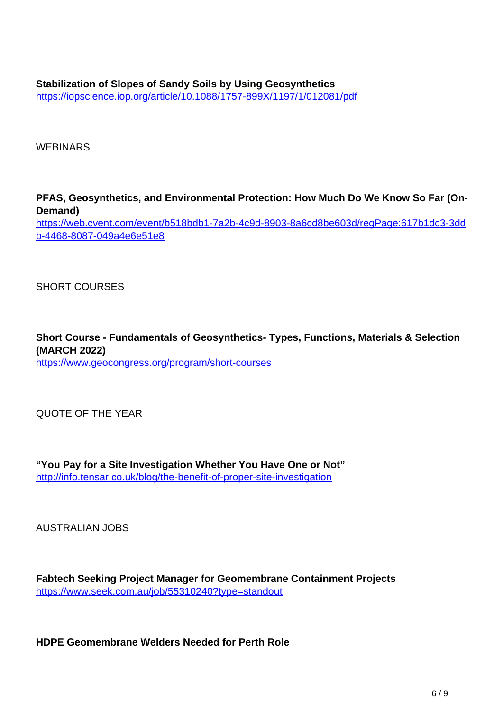WEBINARS

**PFAS, Geosynthetics, and Environmental Protection: How Much Do We Know So Far (On-Demand)** https://web.cvent.com/event/b518bdb1-7a2b-4c9d-8903-8a6cd8be603d/regPage:617b1dc3-3dd b-4468-8087-049a4e6e51e8

SHORT COURSES

**Short Course - Fundamentals of Geosynthetics- Types, Functions, Materials & Selection (MARCH 2022)** https://www.geocongress.org/program/short-courses

QUOTE OF THE YEAR

**"You Pay for a Site Investigation Whether You Have One or Not"** http://info.tensar.co.uk/blog/the-benefit-of-proper-site-investigation

AUSTRALIAN JOBS

**Fabtech Seeking Project Manager for Geomembrane Containment Projects** https://www.seek.com.au/job/55310240?type=standout

**HDPE Geomembrane Welders Needed for Perth Role**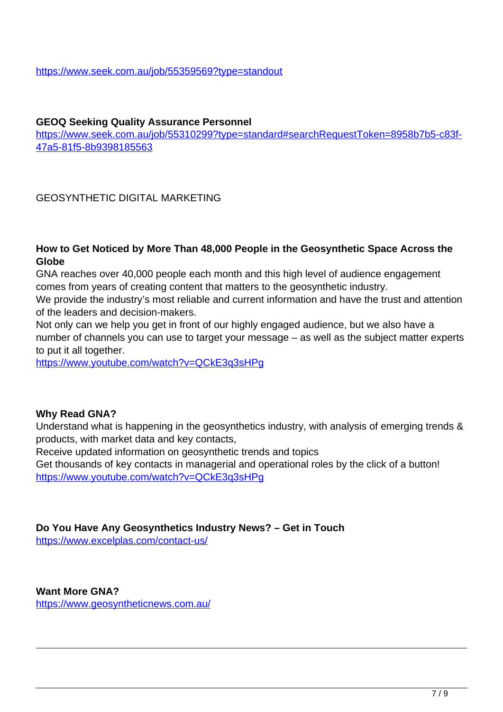#### **GEOQ Seeking Quality Assurance Personnel**

https://www.seek.com.au/job/55310299?type=standard#searchRequestToken=8958b7b5-c83f-47a5-81f5-8b9398185563

# GEOSYNTHETIC DIGITAL MARKETING

#### **How to Get Noticed by More Than 48,000 People in the Geosynthetic Space Across the Globe**

GNA reaches over 40,000 people each month and this high level of audience engagement comes from years of creating content that matters to the geosynthetic industry.

We provide the industry's most reliable and current information and have the trust and attention of the leaders and decision-makers.

Not only can we help you get in front of our highly engaged audience, but we also have a number of channels you can use to target your message – as well as the subject matter experts to put it all together.

https://www.youtube.com/watch?v=QCkE3q3sHPg

#### **Why Read GNA?**

Understand what is happening in the geosynthetics industry, with analysis of emerging trends & products, with market data and key contacts,

Receive updated information on geosynthetic trends and topics

Get thousands of key contacts in managerial and operational roles by the click of a button! https://www.youtube.com/watch?v=QCkE3q3sHPg

#### **Do You Have Any Geosynthetics Industry News? – Get in Touch**

https://www.excelplas.com/contact-us/

**Want More GNA?** https://www.geosyntheticnews.com.au/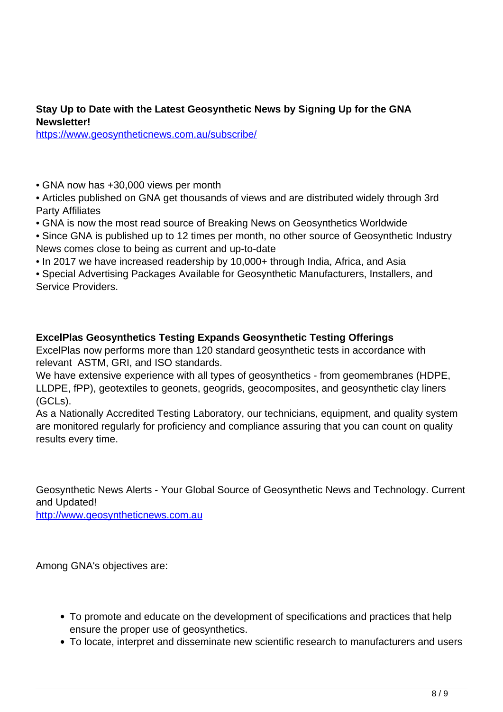# **Stay Up to Date with the Latest Geosynthetic News by Signing Up for the GNA Newsletter!**

https://www.geosyntheticnews.com.au/subscribe/

- GNA now has +30,000 views per month
- Articles published on GNA get thousands of views and are distributed widely through 3rd Party Affiliates
- GNA is now the most read source of Breaking News on Geosynthetics Worldwide
- Since GNA is published up to 12 times per month, no other source of Geosynthetic Industry News comes close to being as current and up-to-date
- In 2017 we have increased readership by 10,000+ through India, Africa, and Asia
- Special Advertising Packages Available for Geosynthetic Manufacturers, Installers, and Service Providers.

# **ExcelPlas Geosynthetics Testing Expands Geosynthetic Testing Offerings**

ExcelPlas now performs more than 120 standard geosynthetic tests in accordance with relevant ASTM, GRI, and ISO standards.

We have extensive experience with all types of geosynthetics - from geomembranes (HDPE, LLDPE, fPP), geotextiles to geonets, geogrids, geocomposites, and geosynthetic clay liners (GCLs).

As a Nationally Accredited Testing Laboratory, our technicians, equipment, and quality system are monitored regularly for proficiency and compliance assuring that you can count on quality results every time.

Geosynthetic News Alerts - Your Global Source of Geosynthetic News and Technology. Current and Updated!

http://www.geosyntheticnews.com.au

Among GNA's objectives are:

- To promote and educate on the development of specifications and practices that help ensure the proper use of geosynthetics.
- To locate, interpret and disseminate new scientific research to manufacturers and users